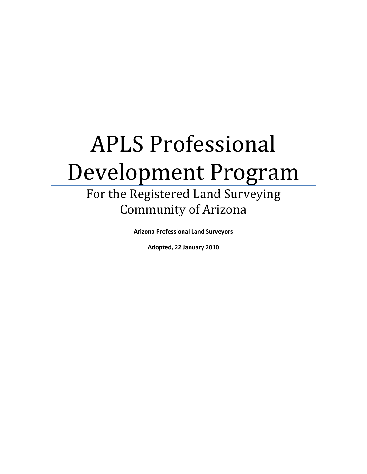# APLS Professional Development Program

# For the Registered Land Surveying Community of Arizona

**Arizona Professional Land Surveyors**

**Adopted, 22 January 2010**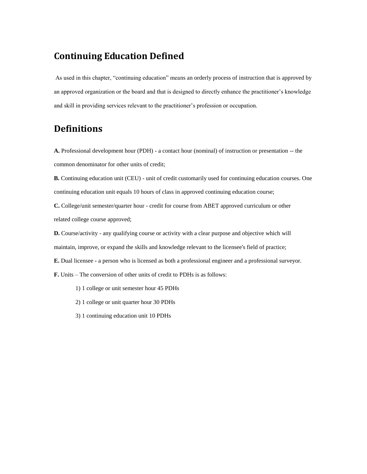### **Continuing Education Defined**

As used in this chapter, "continuing education" means an orderly process of instruction that is approved by an approved organization or the board and that is designed to directly enhance the practitioner's knowledge and skill in providing services relevant to the practitioner's profession or occupation.

## **Definitions**

**A.** Professional development hour (PDH) - a contact hour (nominal) of instruction or presentation -- the common denominator for other units of credit;

**B.** Continuing education unit (CEU) - unit of credit customarily used for continuing education courses. One continuing education unit equals 10 hours of class in approved continuing education course;

**C.** College/unit semester/quarter hour - credit for course from ABET approved curriculum or other related college course approved;

**D.** Course/activity - any qualifying course or activity with a clear purpose and objective which will maintain, improve, or expand the skills and knowledge relevant to the licensee's field of practice;

**E.** Dual licensee **-** a person who is licensed as both a professional engineer and a professional surveyor.

**F.** Units – The conversion of other units of credit to PDHs is as follows:

- 1) 1 college or unit semester hour 45 PDHs
- 2) 1 college or unit quarter hour 30 PDHs
- 3) 1 continuing education unit 10 PDHs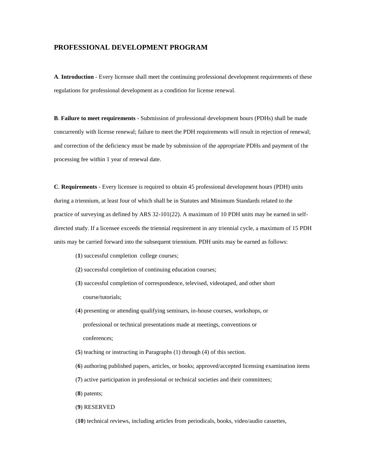#### **PROFESSIONAL DEVELOPMENT PROGRAM**

**A**. **Introduction** - Every licensee shall meet the continuing professional development requirements of these regulations for professional development as a condition for license renewal.

**B**. **Failure to meet requirements** - Submission of professional development hours (PDHs) shall be made concurrently with license renewal; failure to meet the PDH requirements will result in rejection of renewal; and correction of the deficiency must be made by submission of the appropriate PDHs and payment of the processing fee within 1 year of renewal date.

**C**. **Requirements** - Every licensee is required to obtain 45 professional development hours (PDH) units during a triennium, at least four of which shall be in Statutes and Minimum Standards related to the practice of surveying as defined by ARS 32-101(22). A maximum of 10 PDH units may be earned in selfdirected study. If a licensee exceeds the triennial requirement in any triennial cycle, a maximum of 15 PDH units may be carried forward into the subsequent triennium. PDH units may be earned as follows:

- (**1**) successful completion college courses;
- (**2**) successful completion of continuing education courses;
- (**3**) successful completion of correspondence, televised, videotaped, and other short course/tutorials;
- (**4**) presenting or attending qualifying seminars, in-house courses, workshops, or professional or technical presentations made at meetings, conventions or conferences;
- (**5**) teaching or instructing in Paragraphs (1) through (4) of this section.
- (**6**) authoring published papers, articles, or books; approved/accepted licensing examination items
- (**7**) active participation in professional or technical societies and their committees;
- (**8**) patents;
- (**9**) RESERVED
- (**10**) technical reviews, including articles from periodicals, books, video/audio cassettes,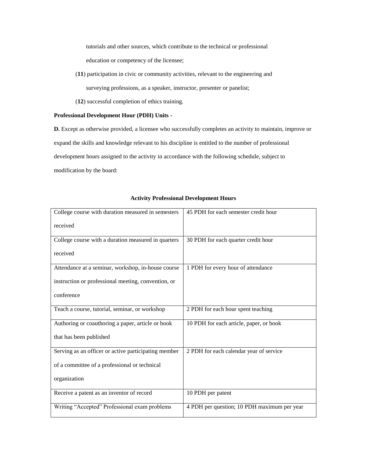tutorials and other sources, which contribute to the technical or professional

education or competency of the licensee;

- (**11**) participation in civic or community activities, relevant to the engineering and surveying professions, as a speaker, instructor, presenter or panelist;
- (**12**) successful completion of ethics training.

#### **Professional Development Hour (PDH) Units -**

**D.** Except as otherwise provided, a licensee who successfully completes an activity to maintain, improve or expand the skills and knowledge relevant to his discipline is entitled to the number of professional development hours assigned to the activity in accordance with the following schedule, subject to modification by the board:

#### **Activity Professional Development Hours**

| College course with duration measured in semesters   | 45 PDH for each semester credit hour        |
|------------------------------------------------------|---------------------------------------------|
| received                                             |                                             |
|                                                      |                                             |
| College course with a duration measured in quarters  | 30 PDH for each quarter credit hour         |
| received                                             |                                             |
| Attendance at a seminar, workshop, in-house course   | 1 PDH for every hour of attendance          |
| instruction or professional meeting, convention, or  |                                             |
| conference                                           |                                             |
| Teach a course, tutorial, seminar, or workshop       | 2 PDH for each hour spent teaching          |
| Authoring or coauthoring a paper, article or book    | 10 PDH for each article, paper, or book     |
| that has been published                              |                                             |
| Serving as an officer or active participating member | 2 PDH for each calendar year of service     |
| of a committee of a professional or technical        |                                             |
| organization                                         |                                             |
| Receive a patent as an inventor of record            | 10 PDH per patent                           |
| Writing "Accepted" Professional exam problems        | 4 PDH per question; 10 PDH maximum per year |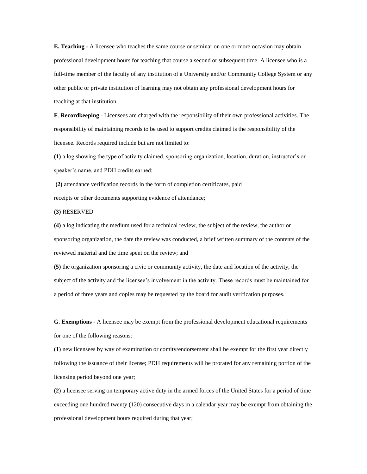**E. Teaching -** A licensee who teaches the same course or seminar on one or more occasion may obtain professional development hours for teaching that course a second or subsequent time. A licensee who is a full-time member of the faculty of any institution of a University and/or Community College System or any other public or private institution of learning may not obtain any professional development hours for teaching at that institution.

**F**. **Recordkeeping** - Licensees are charged with the responsibility of their own professional activities. The responsibility of maintaining records to be used to support credits claimed is the responsibility of the licensee. Records required include but are not limited to:

**(1)** a log showing the type of activity claimed, sponsoring organization, location, duration, instructor's or speaker's name, and PDH credits earned;

**(2)** attendance verification records in the form of completion certificates, paid receipts or other documents supporting evidence of attendance;

#### **(3)** RESERVED

**(4)** a log indicating the medium used for a technical review, the subject of the review, the author or sponsoring organization, the date the review was conducted, a brief written summary of the contents of the reviewed material and the time spent on the review; and

**(5)** the organization sponsoring a civic or community activity, the date and location of the activity, the subject of the activity and the licensee's involvement in the activity. These records must be maintained for a period of three years and copies may be requested by the board for audit verification purposes.

**G**. **Exemptions** - A licensee may be exempt from the professional development educational requirements for one of the following reasons:

(**1**) new licensees by way of examination or comity/endorsement shall be exempt for the first year directly following the issuance of their license; PDH requirements will be prorated for any remaining portion of the licensing period beyond one year;

(**2**) a licensee serving on temporary active duty in the armed forces of the United States for a period of time exceeding one hundred twenty (120) consecutive days in a calendar year may be exempt from obtaining the professional development hours required during that year;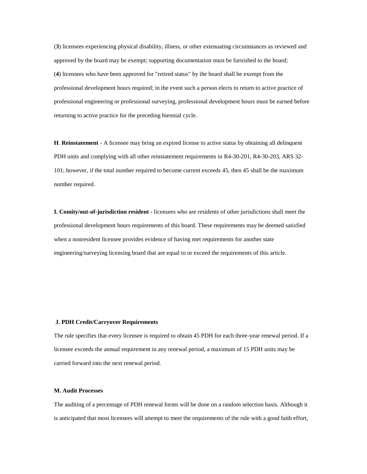(**3**) licensees experiencing physical disability, illness, or other extenuating circumstances as reviewed and approved by the board may be exempt; supporting documentation must be furnished to the board; (**4**) licensees who have been approved for "retired status" by the board shall be exempt from the professional development hours required; in the event such a person elects to return to active practice of professional engineering or professional surveying, professional development hours must be earned before returning to active practice for the preceding biennial cycle.

**H**. **Reinstatement** - A licensee may bring an expired license to active status by obtaining all delinquent PDH units and complying with all other reinstatement requirements in R4-30-201, R4-30-203, ARS 32- 101; however, if the total number required to become current exceeds 45, then 45 shall be the maximum number required.

**I. Comity/out-of-jurisdiction resident** - licensees who are residents of other jurisdictions shall meet the professional development hours requirements of this board. These requirements may be deemed satisfied when a nonresident licensee provides evidence of having met requirements for another state engineering/surveying licensing board that are equal to or exceed the requirements of this article.

#### **J. PDH Credit/Carryover Requirements**

The rule specifies that every licensee is required to obtain 45 PDH for each three-year renewal period. If a licensee exceeds the annual requirement in any renewal period, a maximum of 15 PDH units may be carried forward into the next renewal period.

#### **M. Audit Processes**

The auditing of a percentage of PDH renewal forms will be done on a random selection basis. Although it is anticipated that most licensees will attempt to meet the requirements of the rule with a good faith effort,